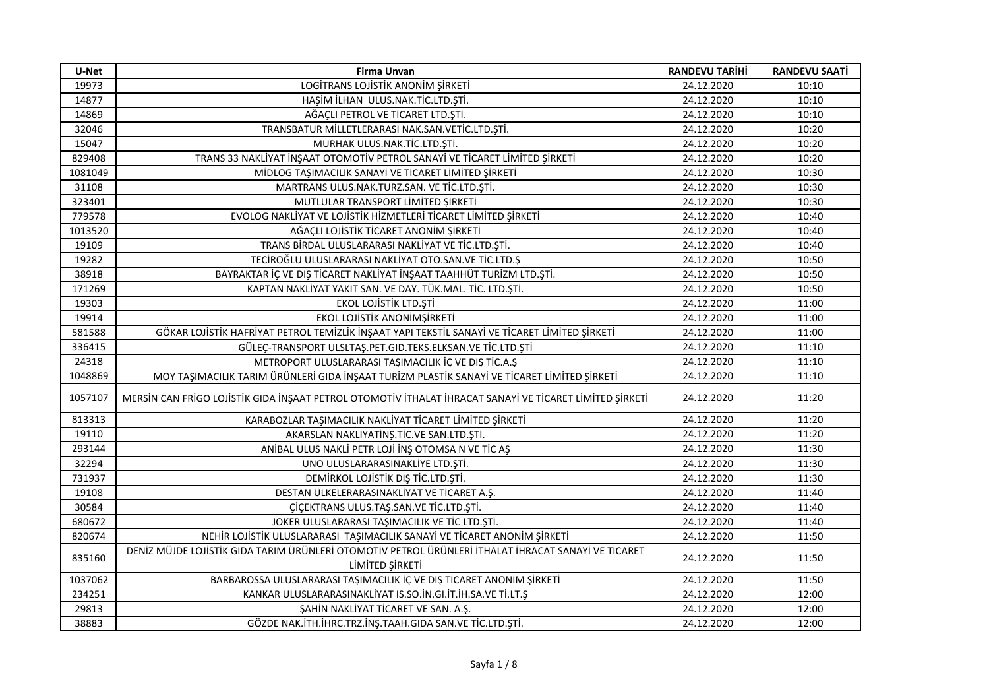| U-Net   | Firma Unvan                                                                                                            | <b>RANDEVU TARİHİ</b> | <b>RANDEVU SAATİ</b> |
|---------|------------------------------------------------------------------------------------------------------------------------|-----------------------|----------------------|
| 19973   | LOGITRANS LOJISTIK ANONIM ŞIRKETI                                                                                      | 24.12.2020            | 10:10                |
| 14877   | HAŞİM İLHAN ULUS.NAK.TİC.LTD.ŞTİ.                                                                                      | 24.12.2020            | 10:10                |
| 14869   | AĞAÇLI PETROL VE TİCARET LTD.ŞTİ.                                                                                      | 24.12.2020            | 10:10                |
| 32046   | TRANSBATUR MİLLETLERARASI NAK.SAN.VETİC.LTD.ŞTİ.                                                                       | 24.12.2020            | 10:20                |
| 15047   | MURHAK ULUS.NAK.TİC.LTD.ŞTİ.                                                                                           | 24.12.2020            | 10:20                |
| 829408  | TRANS 33 NAKLIYAT INŞAAT OTOMOTIV PETROL SANAYI VE TICARET LIMITED ŞIRKETI                                             | 24.12.2020            | 10:20                |
| 1081049 | MİDLOG TAŞIMACILIK SANAYİ VE TİCARET LİMİTED ŞİRKETİ                                                                   | 24.12.2020            | 10:30                |
| 31108   | MARTRANS ULUS.NAK.TURZ.SAN. VE TİC.LTD.ŞTİ.                                                                            | 24.12.2020            | 10:30                |
| 323401  | MUTLULAR TRANSPORT LİMİTED ŞİRKETİ                                                                                     | 24.12.2020            | 10:30                |
| 779578  | EVOLOG NAKLİYAT VE LOJİSTİK HİZMETLERİ TİCARET LİMİTED ŞİRKETİ                                                         | 24.12.2020            | 10:40                |
| 1013520 | AĞAÇLI LOJİSTİK TİCARET ANONİM ŞİRKETİ                                                                                 | 24.12.2020            | 10:40                |
| 19109   | TRANS BİRDAL ULUSLARARASI NAKLİYAT VE TİC.LTD.ŞTİ.                                                                     | 24.12.2020            | 10:40                |
| 19282   | TECİROĞLU ULUSLARARASI NAKLİYAT OTO.SAN.VE TİC.LTD.Ş                                                                   | 24.12.2020            | 10:50                |
| 38918   | BAYRAKTAR İÇ VE DIŞ TİCARET NAKLİYAT İNŞAAT TAAHHÜT TURIZM LTD.ŞTİ.                                                    | 24.12.2020            | 10:50                |
| 171269  | KAPTAN NAKLİYAT YAKIT SAN. VE DAY. TÜK.MAL. TİC. LTD.ŞTİ.                                                              | 24.12.2020            | 10:50                |
| 19303   | EKOL LOJİSTİK LTD.ŞTİ                                                                                                  | 24.12.2020            | 11:00                |
| 19914   | EKOL LOJİSTİK ANONİMŞİRKETİ                                                                                            | 24.12.2020            | 11:00                |
| 581588  | GÖKAR LOJİSTİK HAFRİYAT PETROL TEMİZLİK İNŞAAT YAPI TEKSTİL SANAYİ VE TİCARET LİMİTED ŞİRKETİ                          | 24.12.2020            | 11:00                |
| 336415  | GÜLEÇ-TRANSPORT ULSLTAŞ.PET.GID.TEKS.ELKSAN.VE TİC.LTD.ŞTİ                                                             | 24.12.2020            | 11:10                |
| 24318   | METROPORT ULUSLARARASI TAŞIMACILIK İÇ VE DIŞ TİC.A.Ş                                                                   | 24.12.2020            | 11:10                |
| 1048869 | MOY TAŞIMACILIK TARIM ÜRÜNLERİ GIDA İNŞAAT TURİZM PLASTİK SANAYİ VE TİCARET LİMİTED ŞİRKETİ                            | 24.12.2020            | 11:10                |
| 1057107 | MERSİN CAN FRİGO LOJİSTİK GIDA İNŞAAT PETROL OTOMOTİV İTHALAT İHRACAT SANAYİ VE TİCARET LİMİTED ŞİRKETİ                | 24.12.2020            | 11:20                |
| 813313  | KARABOZLAR TAŞIMACILIK NAKLİYAT TİCARET LİMİTED ŞİRKETİ                                                                | 24.12.2020            | 11:20                |
| 19110   | AKARSLAN NAKLİYATİNŞ.TİC.VE SAN.LTD.ŞTİ.                                                                               | 24.12.2020            | 11:20                |
| 293144  | ANIBAL ULUS NAKLI PETR LOJI INS OTOMSA N VE TIC AS                                                                     | 24.12.2020            | 11:30                |
| 32294   | UNO ULUSLARARASINAKLİYE LTD.ŞTİ.                                                                                       | 24.12.2020            | 11:30                |
| 731937  | DEMIRKOL LOJISTIK DIŞ TİC.LTD.ŞTİ.                                                                                     | 24.12.2020            | 11:30                |
| 19108   | DESTAN ÜLKELERARASINAKLİYAT VE TİCARET A.Ş.                                                                            | 24.12.2020            | 11:40                |
| 30584   | ÇİÇEKTRANS ULUS.TAŞ.SAN.VE TİC.LTD.ŞTİ.                                                                                | 24.12.2020            | 11:40                |
| 680672  | JOKER ULUSLARARASI TAŞIMACILIK VE TİC LTD.ŞTİ.                                                                         | 24.12.2020            | 11:40                |
| 820674  | NEHİR LOJİSTİK ULUSLARARASI TAŞIMACILIK SANAYİ VE TİCARET ANONİM ŞİRKETİ                                               | 24.12.2020            | 11:50                |
| 835160  | DENİZ MÜJDE LOJİSTİK GIDA TARIM ÜRÜNLERİ OTOMOTİV PETROL ÜRÜNLERİ İTHALAT İHRACAT SANAYİ VE TİCARET<br>LİMİTED ŞİRKETİ | 24.12.2020            | 11:50                |
| 1037062 | BARBAROSSA ULUSLARARASI TAŞIMACILIK İÇ VE DIŞ TİCARET ANONİM ŞİRKETİ                                                   | 24.12.2020            | 11:50                |
| 234251  | KANKAR ULUSLARARASINAKLİYAT IS.SO.İN.GI.İT.İH.SA.VE Tİ.LT.Ş                                                            | 24.12.2020            | 12:00                |
| 29813   | ŞAHİN NAKLİYAT TİCARET VE SAN. A.Ş.                                                                                    | 24.12.2020            | 12:00                |
| 38883   | GÖZDE NAK.İTH.İHRC.TRZ.İNŞ.TAAH.GIDA SAN.VE TİC.LTD.ŞTİ.                                                               | 24.12.2020            | 12:00                |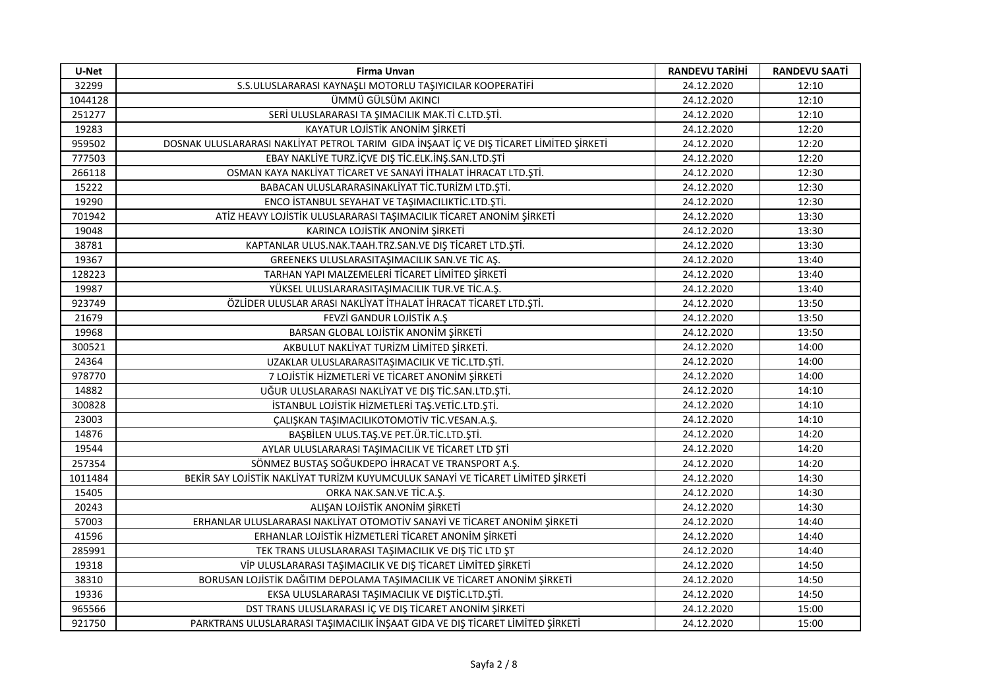| U-Net                    | <b>Firma Unvan</b>                                                                      | <b>RANDEVU TARİHİ</b> | <b>RANDEVU SAATİ</b> |
|--------------------------|-----------------------------------------------------------------------------------------|-----------------------|----------------------|
| 32299                    | S.S.ULUSLARARASI KAYNAŞLI MOTORLU TAŞIYICILAR KOOPERATİFİ                               | 24.12.2020            | 12:10                |
| 1044128                  | ÜMMÜ GÜLSÜM AKINCI                                                                      | 24.12.2020            | 12:10                |
| 251277                   | SERİ ULUSLARARASI TA ŞIMACILIK MAK.Tİ C.LTD.ŞTİ.                                        | 24.12.2020            | 12:10                |
| 19283                    | KAYATUR LOJİSTİK ANONİM ŞİRKETİ                                                         | 24.12.2020            | 12:20                |
| 959502                   | DOSNAK ULUSLARARASI NAKLİYAT PETROL TARIM GIDA İNŞAAT İÇ VE DIŞ TİCARET LİMİTED ŞİRKETİ | 24.12.2020            | 12:20                |
| 777503                   | EBAY NAKLİYE TURZ.İÇVE DIŞ TİC.ELK.İNŞ.SAN.LTD.ŞTİ                                      | 24.12.2020            | 12:20                |
| 266118                   | OSMAN KAYA NAKLİYAT TİCARET VE SANAYİ İTHALAT İHRACAT LTD.ŞTİ.                          | 24.12.2020            | 12:30                |
| 15222<br>19290<br>701942 | BABACAN ULUSLARARASINAKLİYAT TİC.TURİZM LTD.ŞTİ.                                        | 24.12.2020            | 12:30                |
|                          | ENCO İSTANBUL SEYAHAT VE TAŞIMACILIKTİC.LTD.ŞTİ.                                        | 24.12.2020            | 12:30                |
|                          | ATİZ HEAVY LOJİSTİK ULUSLARARASI TAŞIMACILIK TİCARET ANONİM ŞİRKETİ                     | 24.12.2020            | 13:30                |
| 19048                    | KARINCA LOJİSTİK ANONİM ŞİRKETİ                                                         | 24.12.2020            | 13:30                |
| 38781                    | KAPTANLAR ULUS.NAK.TAAH.TRZ.SAN.VE DIŞ TİCARET LTD.ŞTİ.                                 | 24.12.2020            | 13:30                |
| 19367                    | GREENEKS ULUSLARASITAŞIMACILIK SAN.VE TİC AŞ.                                           | 24.12.2020            | 13:40                |
| 128223                   | TARHAN YAPI MALZEMELERİ TİCARET LİMİTED ŞİRKETİ                                         | 24.12.2020            | 13:40                |
| 19987                    | YÜKSEL ULUSLARARASITAŞIMACILIK TUR.VE TİC.A.Ş.                                          | 24.12.2020            | 13:40                |
| 923749                   | ÖZLİDER ULUSLAR ARASI NAKLİYAT İTHALAT İHRACAT TİCARET LTD.ŞTİ.                         | 24.12.2020            | 13:50                |
| 21679                    | FEVZİ GANDUR LOJİSTİK A.Ş                                                               | 24.12.2020            | 13:50                |
| 19968                    | BARSAN GLOBAL LOJİSTİK ANONİM ŞİRKETİ                                                   | 24.12.2020            | 13:50                |
| 300521                   | AKBULUT NAKLİYAT TURİZM LİMİTED ŞİRKETİ.                                                | 24.12.2020            | 14:00                |
| 24364                    | UZAKLAR ULUSLARARASITAŞIMACILIK VE TİC.LTD.ŞTİ.                                         | 24.12.2020            | 14:00                |
| 978770                   | 7 LOJİSTİK HİZMETLERİ VE TİCARET ANONİM ŞİRKETİ                                         | 24.12.2020            | 14:00                |
| 14882                    | UĞUR ULUSLARARASI NAKLİYAT VE DIŞ TİC.SAN.LTD.ŞTİ.                                      | 24.12.2020            | 14:10                |
| 300828                   | İSTANBUL LOJİSTİK HİZMETLERİ TAŞ.VETİC.LTD.ŞTİ.                                         | 24.12.2020            | 14:10                |
| 23003                    | ÇALIŞKAN TAŞIMACILIKOTOMOTİV TİC.VESAN.A.Ş.                                             | 24.12.2020            | 14:10                |
| 14876                    | BAŞBİLEN ULUS.TAŞ.VE PET.ÜR.TİC.LTD.ŞTİ.                                                | 24.12.2020            | 14:20                |
| 19544                    | AYLAR ULUSLARARASI TAŞIMACILIK VE TİCARET LTD ŞTİ                                       | 24.12.2020            | 14:20                |
| 257354                   | SÖNMEZ BUSTAŞ SOĞUKDEPO İHRACAT VE TRANSPORT A.Ş.                                       | 24.12.2020            | 14:20                |
| 1011484                  | BEKİR SAY LOJİSTİK NAKLİYAT TURİZM KUYUMCULUK SANAYİ VE TİCARET LİMİTED ŞİRKETİ         | 24.12.2020            | 14:30                |
| 15405                    | ORKA NAK.SAN.VE TİC.A.Ş.                                                                | 24.12.2020            | 14:30                |
| 20243                    | ALIŞAN LOJİSTİK ANONİM ŞİRKETİ                                                          | 24.12.2020            | 14:30                |
| 57003                    | ERHANLAR ULUSLARARASI NAKLIYAT OTOMOTIV SANAYI VE TICARET ANONIM ŞIRKETI                | 24.12.2020            | 14:40                |
| 41596                    | ERHANLAR LOJİSTİK HİZMETLERİ TİCARET ANONİM ŞİRKETİ                                     | 24.12.2020            | 14:40                |
| 285991                   | TEK TRANS ULUSLARARASI TAŞIMACILIK VE DIŞ TİC LTD ŞT                                    | 24.12.2020            | 14:40                |
| 19318                    | VİP ULUSLARARASI TAŞIMACILIK VE DIŞ TİCARET LİMİTED ŞİRKETİ                             | 24.12.2020            | 14:50                |
| 38310                    | BORUSAN LOJİSTİK DAĞITIM DEPOLAMA TAŞIMACILIK VE TİCARET ANONİM ŞİRKETİ                 | 24.12.2020            | 14:50                |
| 19336                    | EKSA ULUSLARARASI TAŞIMACILIK VE DIŞTİC.LTD.ŞTİ.                                        | 24.12.2020            | 14:50                |
| 965566                   | DST TRANS ULUSLARARASI İÇ VE DIŞ TİCARET ANONİM ŞİRKETİ                                 | 24.12.2020            | 15:00                |
| 921750                   | PARKTRANS ULUSLARARASI TAŞIMACILIK İNŞAAT GIDA VE DIŞ TİCARET LİMİTED ŞİRKETİ           | 24.12.2020            | 15:00                |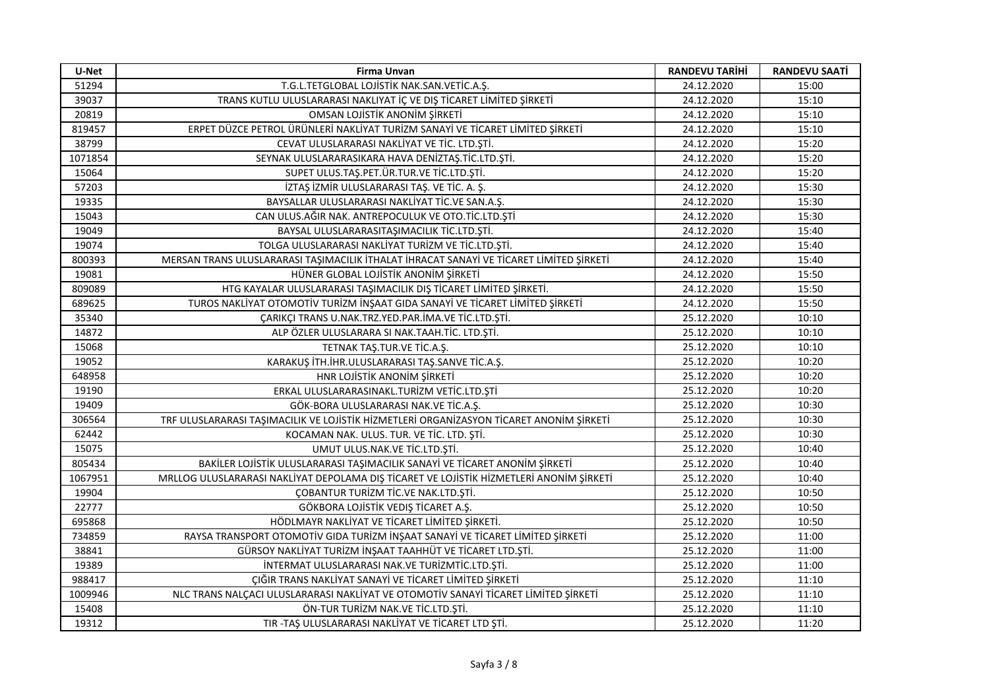| U-Net   | <b>Firma Unvan</b>                                                                      | <b>RANDEVU TARİHİ</b> | <b>RANDEVU SAATİ</b> |
|---------|-----------------------------------------------------------------------------------------|-----------------------|----------------------|
| 51294   | T.G.L.TETGLOBAL LOJİSTİK NAK.SAN.VETİC.A.Ş.                                             | 24.12.2020            | 15:00                |
| 39037   | TRANS KUTLU ULUSLARARASI NAKLIYAT İÇ VE DIŞ TİCARET LİMİTED ŞİRKETİ                     | 24.12.2020            | 15:10                |
| 20819   | OMSAN LOJİSTİK ANONİM ŞİRKETİ                                                           | 24.12.2020            | 15:10                |
| 819457  | ERPET DÜZCE PETROL ÜRÜNLERI NAKLIYAT TURIZM SANAYI VE TICARET LIMITED ŞIRKETI           | 24.12.2020            | 15:10                |
| 38799   | CEVAT ULUSLARARASI NAKLİYAT VE TİC. LTD.ŞTİ.                                            | 24.12.2020            | 15:20                |
| 1071854 | SEYNAK ULUSLARARASIKARA HAVA DENİZTAŞ.TİC.LTD.ŞTİ.                                      | 24.12.2020            | 15:20                |
| 15064   | SUPET ULUS.TAŞ.PET.ÜR.TUR.VE TİC.LTD.ŞTİ.                                               | 24.12.2020            | 15:20                |
| 57203   | İZTAŞ İZMİR ULUSLARARASI TAŞ. VE TİC. A. Ş.                                             | 24.12.2020            | 15:30                |
| 19335   | BAYSALLAR ULUSLARARASI NAKLİYAT TİC.VE SAN.A.Ş.                                         | 24.12.2020            | 15:30                |
| 15043   | CAN ULUS.AĞIR NAK. ANTREPOCULUK VE OTO.TİC.LTD.ŞTİ                                      | 24.12.2020            | 15:30                |
| 19049   | BAYSAL ULUSLARARASITAŞIMACILIK TİC.LTD.ŞTİ.                                             | 24.12.2020            | 15:40                |
| 19074   | TOLGA ULUSLARARASI NAKLİYAT TURİZM VE TİC.LTD.ŞTİ.                                      | 24.12.2020            | 15:40                |
| 800393  | MERSAN TRANS ULUSLARARASI TAŞIMACILIK İTHALAT İHRACAT SANAYİ VE TİCARET LİMİTED ŞİRKETİ | 24.12.2020            | 15:40                |
| 19081   | HÜNER GLOBAL LOJİSTİK ANONİM ŞİRKETİ                                                    | 24.12.2020            | 15:50                |
| 809089  | HTG KAYALAR ULUSLARARASI TAŞIMACILIK DIŞ TİCARET LİMİTED ŞİRKETİ.                       | 24.12.2020            | 15:50                |
| 689625  | TUROS NAKLİYAT OTOMOTİV TURİZM İNŞAAT GIDA SANAYİ VE TİCARET LİMİTED ŞİRKETİ            | 24.12.2020            | 15:50                |
| 35340   | ÇARIKÇI TRANS U.NAK.TRZ.YED.PAR.İMA.VE TİC.LTD.ŞTİ.                                     | 25.12.2020            | 10:10                |
| 14872   | ALP ÖZLER ULUSLARARA SI NAK.TAAH.TİC. LTD.ŞTİ.                                          | 25.12.2020            | 10:10                |
| 15068   | TETNAK TAŞ.TUR.VE TİC.A.Ş.                                                              | 25.12.2020            | 10:10                |
| 19052   | KARAKUŞ İTH.İHR.ULUSLARARASI TAŞ.SANVE TİC.A.Ş.                                         | 25.12.2020            | 10:20                |
| 648958  | HNR LOJİSTİK ANONİM ŞİRKETİ                                                             | 25.12.2020            | 10:20                |
| 19190   | ERKAL ULUSLARARASINAKL.TURİZM VETİC.LTD.ŞTİ                                             | 25.12.2020            | 10:20                |
| 19409   | GÖK-BORA ULUSLARARASI NAK.VE TİC.A.Ş.                                                   | 25.12.2020            | 10:30                |
| 306564  | TRF ULUSLARARASI TAŞIMACILIK VE LOJİSTİK HİZMETLERİ ORGANİZASYON TİCARET ANONİM ŞİRKETİ | 25.12.2020            | 10:30                |
| 62442   | KOCAMAN NAK. ULUS. TUR. VE TİC. LTD. ŞTİ.                                               | 25.12.2020            | 10:30                |
| 15075   | UMUT ULUS.NAK.VE TİC.LTD.ŞTİ.                                                           | 25.12.2020            | 10:40                |
| 805434  | BAKİLER LOJİSTİK ULUSLARARASI TAŞIMACILIK SANAYİ VE TİCARET ANONİM ŞİRKETİ              | 25.12.2020            | 10:40                |
| 1067951 | MRLLOG ULUSLARARASI NAKLIYAT DEPOLAMA DIŞ TICARET VE LOJISTIK HIZMETLERI ANONIM ŞIRKETI | 25.12.2020            | 10:40                |
| 19904   | ÇOBANTUR TURİZM TİC.VE NAK.LTD.ŞTİ.                                                     | 25.12.2020            | 10:50                |
| 22777   | GÖKBORA LOJİSTİK VEDIŞ TİCARET A.Ş.                                                     | 25.12.2020            | 10:50                |
| 695868  | HÖDLMAYR NAKLİYAT VE TİCARET LİMİTED ŞİRKETİ.                                           | 25.12.2020            | 10:50                |
| 734859  | RAYSA TRANSPORT OTOMOTIV GIDA TURIZM INŞAAT SANAYI VE TICARET LIMITED ŞIRKETI           | 25.12.2020            | 11:00                |
| 38841   | GÜRSOY NAKLIYAT TURİZM İNŞAAT TAAHHÜT VE TİCARET LTD.ŞTİ.                               | 25.12.2020            | 11:00                |
| 19389   | INTERMAT ULUSLARARASI NAK.VE TURIZMTIC.LTD.ŞTI.                                         | 25.12.2020            | 11:00                |
| 988417  | ÇIĞIR TRANS NAKLİYAT SANAYİ VE TİCARET LİMİTED ŞİRKETİ                                  | 25.12.2020            | 11:10                |
| 1009946 | NLC TRANS NALÇACI ULUSLARARASI NAKLİYAT VE OTOMOTİV SANAYİ TICARET LIMITED ŞIRKETİ      | 25.12.2020            | 11:10                |
| 15408   | ÖN-TUR TURİZM NAK.VE TİC.LTD.ŞTİ.                                                       | 25.12.2020            | 11:10                |
| 19312   | TIR - TAŞ ULUSLARARASI NAKLİYAT VE TİCARET LTD ŞTİ.                                     | 25.12.2020            | 11:20                |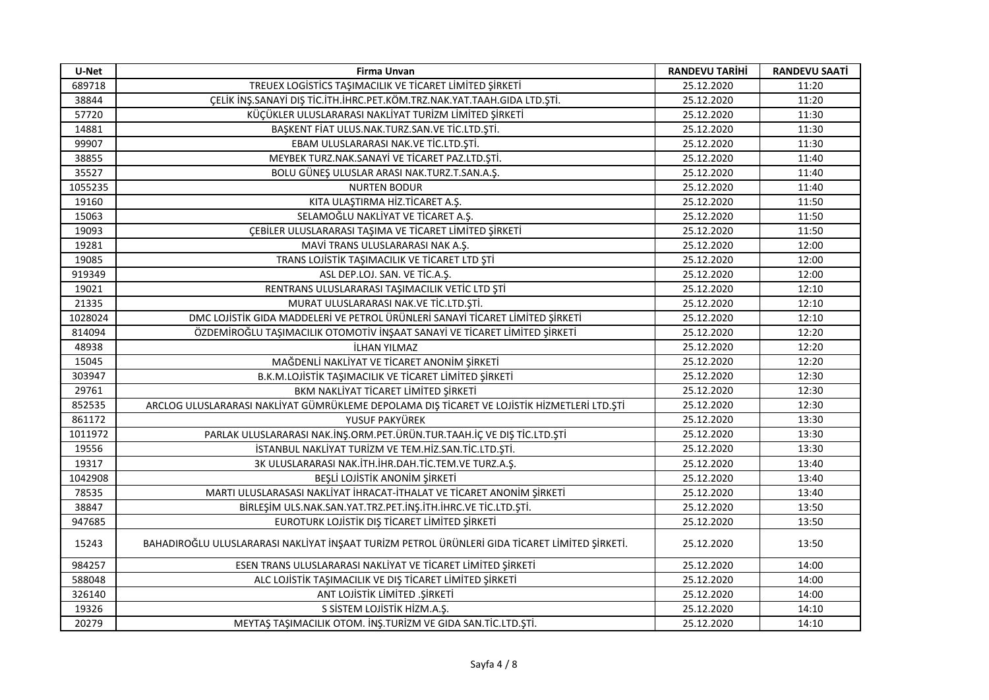| U-Net   | <b>Firma Unvan</b>                                                                            | <b>RANDEVU TARİHİ</b> | <b>RANDEVU SAATİ</b> |
|---------|-----------------------------------------------------------------------------------------------|-----------------------|----------------------|
| 689718  | TREUEX LOGISTICS TAŞIMACILIK VE TICARET LİMİTED ŞİRKETİ                                       | 25.12.2020            | 11:20                |
| 38844   | ÇELİK İNŞ.SANAYİ DIŞ TİC.İTH.İHRC.PET.KÖM.TRZ.NAK.YAT.TAAH.GIDA LTD.ŞTİ.                      | 25.12.2020            | 11:20                |
| 57720   | KÜÇÜKLER ULUSLARARASI NAKLİYAT TURİZM LİMİTED ŞİRKETİ                                         | 25.12.2020            | 11:30                |
| 14881   | BAŞKENT FİAT ULUS.NAK.TURZ.SAN.VE TİC.LTD.ŞTİ.                                                | 25.12.2020            | 11:30                |
| 99907   | EBAM ULUSLARARASI NAK.VE TİC.LTD.ŞTİ.                                                         | 25.12.2020            | 11:30                |
| 38855   | MEYBEK TURZ.NAK.SANAYİ VE TİCARET PAZ.LTD.ŞTİ.                                                | 25.12.2020            | 11:40                |
| 35527   | BOLU GÜNEŞ ULUSLAR ARASI NAK.TURZ.T.SAN.A.Ş.                                                  | 25.12.2020            | 11:40                |
| 1055235 | <b>NURTEN BODUR</b>                                                                           | 25.12.2020            | 11:40                |
| 19160   | KITA ULAŞTIRMA HİZ.TİCARET A.Ş.                                                               | 25.12.2020            | 11:50                |
| 15063   | SELAMOĞLU NAKLİYAT VE TİCARET A.Ş.                                                            | 25.12.2020            | 11:50                |
| 19093   | ÇEBİLER ULUSLARARASI TAŞIMA VE TİCARET LİMİTED ŞİRKETİ                                        | 25.12.2020            | 11:50                |
| 19281   | MAVİ TRANS ULUSLARARASI NAK A.Ş.                                                              | 25.12.2020            | 12:00                |
| 19085   | TRANS LOJİSTİK TAŞIMACILIK VE TİCARET LTD ŞTİ                                                 | 25.12.2020            | 12:00                |
| 919349  | ASL DEP.LOJ. SAN. VE TİC.A.Ş.                                                                 | 25.12.2020            | 12:00                |
| 19021   | RENTRANS ULUSLARARASI TAŞIMACILIK VETİC LTD ŞTİ                                               | 25.12.2020            | 12:10                |
| 21335   | MURAT ULUSLARARASI NAK.VE TİC.LTD.ŞTİ.                                                        | 25.12.2020            | 12:10                |
| 1028024 | DMC LOJİSTİK GIDA MADDELERİ VE PETROL ÜRÜNLERİ SANAYİ TİCARET LİMİTED ŞİRKETİ                 | 25.12.2020            | 12:10                |
| 814094  | ÖZDEMİROĞLU TAŞIMACILIK OTOMOTİV İNŞAAT SANAYİ VE TİCARET LİMİTED ŞİRKETİ                     | 25.12.2020            | 12:20                |
| 48938   | İLHAN YILMAZ                                                                                  | 25.12.2020            | 12:20                |
| 15045   | MAĞDENLİ NAKLİYAT VE TİCARET ANONİM ŞİRKETİ                                                   | 25.12.2020            | 12:20                |
| 303947  | B.K.M.LOJİSTİK TAŞIMACILIK VE TİCARET LİMİTED ŞİRKETİ                                         | 25.12.2020            | 12:30                |
| 29761   | BKM NAKLİYAT TİCARET LİMİTED ŞİRKETİ                                                          | 25.12.2020            | 12:30                |
| 852535  | ARCLOG ULUSLARARASI NAKLIYAT GÜMRÜKLEME DEPOLAMA DIŞ TICARET VE LOJİSTIK HIZMETLERİ LTD.ŞTİ   | 25.12.2020            | 12:30                |
| 861172  | YUSUF PAKYÜREK                                                                                | 25.12.2020            | 13:30                |
| 1011972 | PARLAK ULUSLARARASI NAK.İNŞ.ORM.PET.ÜRÜN.TUR.TAAH.İÇ VE DIŞ TİC.LTD.ŞTİ                       | 25.12.2020            | 13:30                |
| 19556   | ISTANBUL NAKLIYAT TURIZM VE TEM.HIZ.SAN.TIC.LTD.ŞTİ.                                          | 25.12.2020            | 13:30                |
| 19317   | 3K ULUSLARARASI NAK.İTH.İHR.DAH.TİC.TEM.VE TURZ.A.Ş.                                          | 25.12.2020            | 13:40                |
| 1042908 | BEŞLİ LOJİSTİK ANONİM ŞİRKETİ                                                                 | 25.12.2020            | 13:40                |
| 78535   | MARTI ULUSLARASASI NAKLIYAT İHRACAT-İTHALAT VE TİCARET ANONİM ŞİRKETİ                         | 25.12.2020            | 13:40                |
| 38847   | BİRLEŞİM ULS.NAK.SAN.YAT.TRZ.PET.İNŞ.İTH.İHRC.VE TİC.LTD.ŞTİ.                                 | 25.12.2020            | 13:50                |
| 947685  | EUROTURK LOJİSTİK DIŞ TİCARET LİMİTED ŞİRKETİ                                                 | 25.12.2020            | 13:50                |
| 15243   | BAHADIROĞLU ULUSLARARASI NAKLIYAT İNŞAAT TURİZM PETROL ÜRÜNLERİ GIDA TİCARET LİMİTED ŞİRKETİ. | 25.12.2020            | 13:50                |
| 984257  | ESEN TRANS ULUSLARARASI NAKLIYAT VE TICARET LIMITED ŞIRKETI                                   | 25.12.2020            | 14:00                |
| 588048  | ALC LOJİSTİK TAŞIMACILIK VE DIŞ TİCARET LİMİTED ŞİRKETİ                                       | 25.12.2020            | 14:00                |
| 326140  | ANT LOJİSTİK LİMİTED .ŞİRKETİ                                                                 | 25.12.2020            | 14:00                |
| 19326   | S SİSTEM LOJİSTİK HİZM.A.Ş.                                                                   | 25.12.2020            | 14:10                |
| 20279   | MEYTAŞ TAŞIMACILIK OTOM. İNŞ.TURİZM VE GIDA SAN.TİC.LTD.ŞTİ.                                  | 25.12.2020            | 14:10                |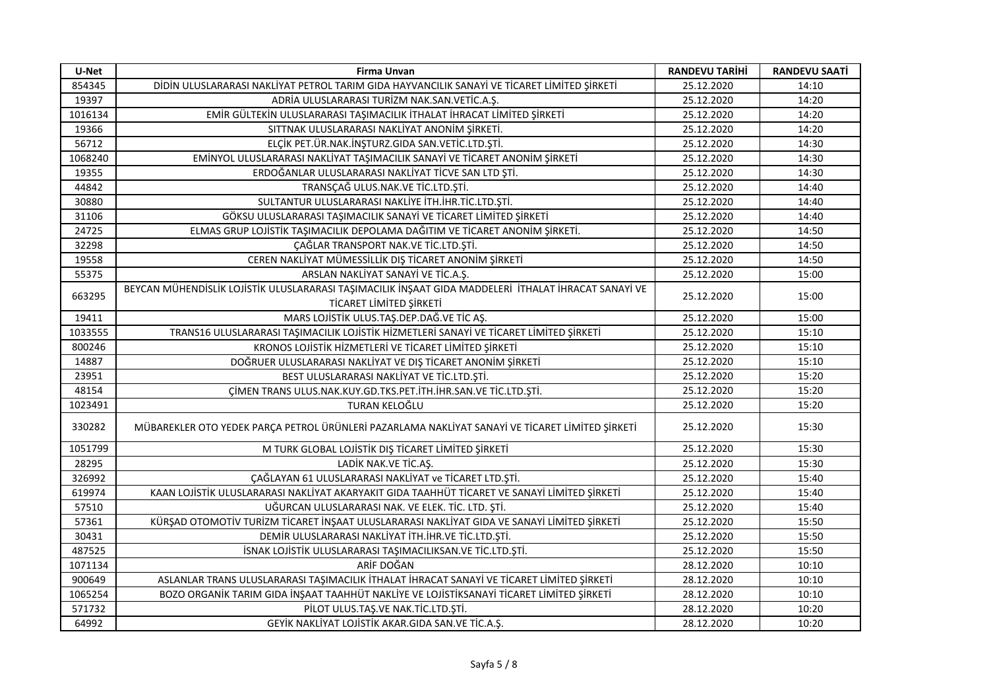| U-Net   | <b>Firma Unvan</b>                                                                                                              | <b>RANDEVU TARİHİ</b> | <b>RANDEVU SAATİ</b> |
|---------|---------------------------------------------------------------------------------------------------------------------------------|-----------------------|----------------------|
| 854345  | DİDİN ULUSLARARASI NAKLİYAT PETROL TARIM GIDA HAYVANCILIK SANAYİ VE TİCARET LİMİTED ŞİRKETİ                                     | 25.12.2020            | 14:10                |
| 19397   | ADRÍA ULUSLARARASI TURÍZM NAK.SAN.VETÍC.A.Ş.                                                                                    | 25.12.2020            | 14:20                |
| 1016134 | EMİR GÜLTEKİN ULUSLARARASI TAŞIMACILIK İTHALAT İHRACAT LİMİTED ŞİRKETİ                                                          | 25.12.2020            | 14:20                |
| 19366   | SITTNAK ULUSLARARASI NAKLIYAT ANONIM ŞİRKETİ.                                                                                   | 25.12.2020            | 14:20                |
| 56712   | ELÇİK PET.ÜR.NAK.İNŞTURZ.GIDA SAN.VETİC.LTD.ŞTİ.                                                                                | 25.12.2020            | 14:30                |
| 1068240 | EMİNYOL ULUSLARARASI NAKLİYAT TAŞIMACILIK SANAYİ VE TİCARET ANONİM ŞİRKETİ                                                      | 25.12.2020            | 14:30                |
| 19355   | ERDOĞANLAR ULUSLARARASI NAKLİYAT TİCVE SAN LTD ŞTİ.                                                                             | 25.12.2020            | 14:30                |
| 44842   | TRANSÇAĞ ULUS.NAK.VE TİC.LTD.ŞTİ.                                                                                               | 25.12.2020            | 14:40                |
| 30880   | SULTANTUR ULUSLARARASI NAKLİYE İTH.İHR.TİC.LTD.ŞTİ.                                                                             | 25.12.2020            | 14:40                |
| 31106   | GÖKSU ULUSLARARASI TAŞIMACILIK SANAYİ VE TİCARET LİMİTED ŞİRKETİ                                                                | 25.12.2020            | 14:40                |
| 24725   | ELMAS GRUP LOJİSTİK TAŞIMACILIK DEPOLAMA DAĞITIM VE TİCARET ANONİM ŞİRKETİ.                                                     | 25.12.2020            | 14:50                |
| 32298   | ÇAĞLAR TRANSPORT NAK.VE TİC.LTD.ŞTİ.                                                                                            | 25.12.2020            | 14:50                |
| 19558   | CEREN NAKLİYAT MÜMESSİLLİK DIŞ TİCARET ANONİM ŞİRKETİ                                                                           | 25.12.2020            | 14:50                |
| 55375   | ARSLAN NAKLİYAT SANAYİ VE TİC.A.Ş.                                                                                              | 25.12.2020            | 15:00                |
| 663295  | BEYCAN MÜHENDİSLİK LOJİSTIK ULUSLARARASI TAŞIMACILIK İNŞAAT GIDA MADDELERİ İTHALAT İHRACAT SANAYİ VE<br>TİCARET LİMİTED ŞİRKETİ | 25.12.2020            | 15:00                |
| 19411   | MARS LOJİSTİK ULUS.TAŞ.DEP.DAĞ.VE TİC AŞ.                                                                                       | 25.12.2020            | 15:00                |
| 1033555 | TRANS16 ULUSLARARASI TAŞIMACILIK LOJİSTİK HİZMETLERİ SANAYİ VE TİCARET LİMİTED ŞİRKETİ                                          | 25.12.2020            | 15:10                |
| 800246  | KRONOS LOJİSTİK HİZMETLERİ VE TİCARET LİMİTED ŞİRKETİ                                                                           | 25.12.2020            | 15:10                |
| 14887   | DOĞRUER ULUSLARARASI NAKLİYAT VE DIŞ TİCARET ANONİM ŞİRKETİ                                                                     | 25.12.2020            | 15:10                |
| 23951   | BEST ULUSLARARASI NAKLİYAT VE TİC.LTD.ŞTİ.                                                                                      | 25.12.2020            | 15:20                |
| 48154   | ÇİMEN TRANS ULUS.NAK.KUY.GD.TKS.PET.İTH.İHR.SAN.VE TİC.LTD.ŞTİ.                                                                 | 25.12.2020            | 15:20                |
| 1023491 | TURAN KELOĞLU                                                                                                                   | 25.12.2020            | 15:20                |
| 330282  | MÜBAREKLER OTO YEDEK PARÇA PETROL ÜRÜNLERİ PAZARLAMA NAKLİYAT SANAYİ VE TİCARET LİMİTED ŞİRKETİ                                 | 25.12.2020            | 15:30                |
| 1051799 | M TURK GLOBAL LOJİSTİK DIŞ TİCARET LİMİTED ŞİRKETİ                                                                              | 25.12.2020            | 15:30                |
| 28295   | LADİK NAK.VE TİC.AŞ.                                                                                                            | 25.12.2020            | 15:30                |
| 326992  | ÇAĞLAYAN 61 ULUSLARARASI NAKLİYAT ve TİCARET LTD.ŞTİ.                                                                           | 25.12.2020            | 15:40                |
| 619974  | KAAN LOJİSTİK ULUSLARARASI NAKLİYAT AKARYAKIT GIDA TAAHHÜT TİCARET VE SANAYİ LİMİTED ŞİRKETİ                                    | 25.12.2020            | 15:40                |
| 57510   | UĞURCAN ULUSLARARASI NAK. VE ELEK. TİC. LTD. ŞTİ.                                                                               | 25.12.2020            | 15:40                |
| 57361   | KÜRŞAD OTOMOTİV TURİZM TİCARET İNŞAAT ULUSLARARASI NAKLİYAT GIDA VE SANAYİ LİMİTED ŞİRKETİ                                      | 25.12.2020            | 15:50                |
| 30431   | DEMIR ULUSLARARASI NAKLIYAT İTH.İHR.VE TİC.LTD.ŞTİ.                                                                             | 25.12.2020            | 15:50                |
| 487525  | İSNAK LOJİSTİK ULUSLARARASI TAŞIMACILIKSAN.VE TİC.LTD.ŞTİ.                                                                      | 25.12.2020            | 15:50                |
| 1071134 | ARİF DOĞAN                                                                                                                      | 28.12.2020            | 10:10                |
| 900649  | ASLANLAR TRANS ULUSLARARASI TAŞIMACILIK İTHALAT İHRACAT SANAYİ VE TİCARET LİMİTED ŞİRKETİ                                       | 28.12.2020            | 10:10                |
| 1065254 | BOZO ORGANIK TARIM GIDA İNŞAAT TAAHHÜT NAKLIYE VE LOJİSTİKSANAYİ TİCARET LİMİTED ŞİRKETİ                                        | 28.12.2020            | 10:10                |
| 571732  | PİLOT ULUS.TAŞ.VE NAK.TİC.LTD.ŞTİ.                                                                                              | 28.12.2020            | 10:20                |
| 64992   | GEYİK NAKLİYAT LOJİSTİK AKAR.GIDA SAN.VE TİC.A.Ş.                                                                               | 28.12.2020            | 10:20                |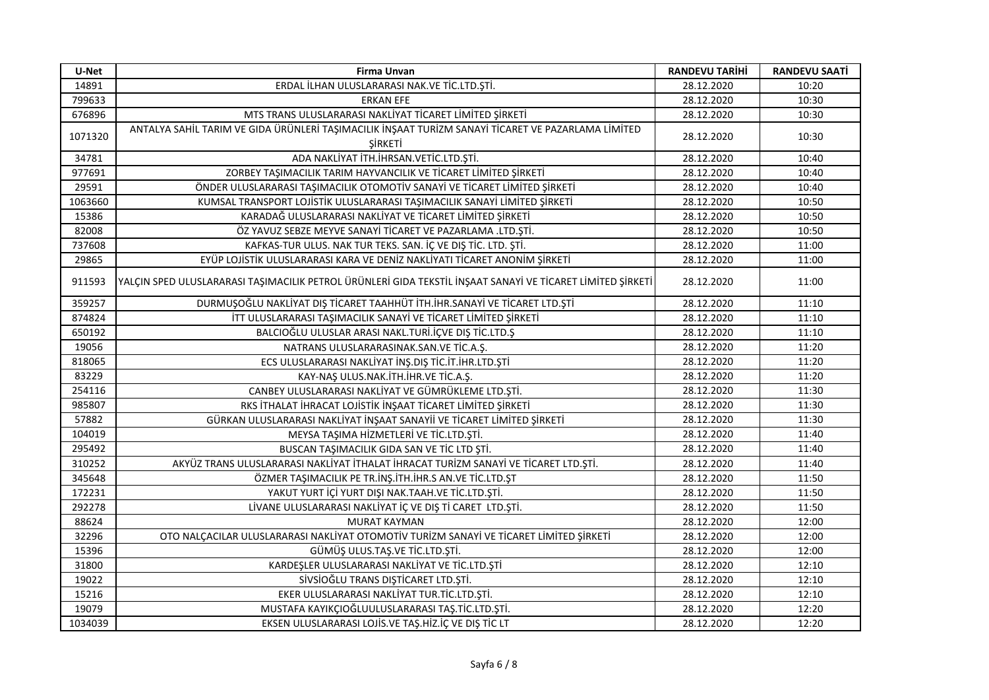| U-Net   | <b>Firma Unvan</b>                                                                                                                 | <b>RANDEVU TARİHİ</b> | <b>RANDEVU SAATİ</b> |
|---------|------------------------------------------------------------------------------------------------------------------------------------|-----------------------|----------------------|
| 14891   | ERDAL İLHAN ULUSLARARASI NAK.VE TİC.LTD.ŞTİ.                                                                                       | 28.12.2020            | 10:20                |
| 799633  | <b>ERKAN EFE</b>                                                                                                                   | 28.12.2020            | 10:30                |
| 676896  | MTS TRANS ULUSLARARASI NAKLİYAT TİCARET LİMİTED ŞİRKETİ                                                                            | 28.12.2020            | 10:30                |
| 1071320 | ANTALYA SAHİL TARIM VE GIDA ÜRÜNLERİ TAŞIMACILIK İNŞAAT TURİZM SANAYİ TİCARET VE PAZARLAMA LİMİTED<br><b><i><u>SIRKETI</u></i></b> | 28.12.2020            | 10:30                |
| 34781   | ADA NAKLİYAT İTH.İHRSAN.VETİC.LTD.ŞTİ.                                                                                             | 28.12.2020            | 10:40                |
| 977691  | ZORBEY TAŞIMACILIK TARIM HAYVANCILIK VE TİCARET LİMİTED ŞİRKETİ                                                                    | 28.12.2020            | 10:40                |
| 29591   | ÖNDER ULUSLARARASI TAŞIMACILIK OTOMOTİV SANAYİ VE TİCARET LİMİTED ŞİRKETİ                                                          | 28.12.2020            | 10:40                |
| 1063660 | KUMSAL TRANSPORT LOJİSTİK ULUSLARARASI TAŞIMACILIK SANAYİ LİMİTED ŞİRKETİ                                                          | 28.12.2020            | 10:50                |
| 15386   | KARADAĞ ULUSLARARASI NAKLİYAT VE TİCARET LİMİTED ŞİRKETİ                                                                           | 28.12.2020            | 10:50                |
| 82008   | ÖZ YAVUZ SEBZE MEYVE SANAYİ TİCARET VE PAZARLAMA .LTD.ŞTİ.                                                                         | 28.12.2020            | 10:50                |
| 737608  | KAFKAS-TUR ULUS. NAK TUR TEKS. SAN. İÇ VE DIŞ TİC. LTD. ŞTİ.                                                                       | 28.12.2020            | 11:00                |
| 29865   | EYÜP LOJİSTİK ULUSLARARASI KARA VE DENİZ NAKLİYATI TİCARET ANONİM ŞİRKETİ                                                          | 28.12.2020            | 11:00                |
| 911593  | YALÇIN SPED ULUSLARARASI TAŞIMACILIK PETROL ÜRÜNLERİ GIDA TEKSTİL İNŞAAT SANAYİ VE TİCARET LİMİTED ŞİRKETİ                         | 28.12.2020            | 11:00                |
| 359257  | DURMUŞOĞLU NAKLİYAT DIŞ TİCARET TAAHHÜT İTH. İHR. SANAYİ VE TİCARET LTD. ŞTİ                                                       | 28.12.2020            | 11:10                |
| 874824  | İTT ULUSLARARASI TAŞIMACILIK SANAYİ VE TİCARET LİMİTED ŞİRKETİ                                                                     | 28.12.2020            | 11:10                |
| 650192  | BALCIOĞLU ULUSLAR ARASI NAKL.TURİ.İÇVE DIŞ TİC.LTD.Ş                                                                               | 28.12.2020            | 11:10                |
| 19056   | NATRANS ULUSLARARASINAK.SAN.VE TİC.A.Ş.                                                                                            | 28.12.2020            | 11:20                |
| 818065  | ECS ULUSLARARASI NAKLIYAT İNŞ.DIŞ TİC.İT.İHR.LTD.ŞTİ                                                                               | 28.12.2020            | 11:20                |
| 83229   | KAY-NAŞ ULUS.NAK.İTH.İHR.VE TİC.A.Ş.                                                                                               | 28.12.2020            | 11:20                |
| 254116  | CANBEY ULUSLARARASI NAKLİYAT VE GÜMRÜKLEME LTD.ŞTİ.                                                                                | 28.12.2020            | 11:30                |
| 985807  | RKS İTHALAT İHRACAT LOJİSTİK İNŞAAT TİCARET LİMİTED ŞİRKETİ                                                                        | 28.12.2020            | 11:30                |
| 57882   | GÜRKAN ULUSLARARASI NAKLİYAT İNŞAAT SANAYİİ VE TİCARET LİMİTED ŞİRKETİ                                                             | 28.12.2020            | 11:30                |
| 104019  | MEYSA TAŞIMA HİZMETLERİ VE TİC.LTD.ŞTİ.                                                                                            | 28.12.2020            | 11:40                |
| 295492  | BUSCAN TAŞIMACILIK GIDA SAN VE TİC LTD ŞTİ.                                                                                        | 28.12.2020            | 11:40                |
| 310252  | AKYÜZ TRANS ULUSLARARASI NAKLİYAT İTHALAT İHRACAT TURİZM SANAYİ VE TİCARET LTD.ŞTİ.                                                | 28.12.2020            | 11:40                |
| 345648  | ÖZMER TAŞIMACILIK PE TR.İNŞ.İTH.İHR.S AN.VE TİC.LTD.ŞT                                                                             | 28.12.2020            | 11:50                |
| 172231  | YAKUT YURT İÇİ YURT DIŞI NAK.TAAH.VE TİC.LTD.ŞTİ.                                                                                  | 28.12.2020            | 11:50                |
| 292278  | LİVANE ULUSLARARASI NAKLİYAT İÇ VE DIŞ Tİ CARET LTD.ŞTİ.                                                                           | 28.12.2020            | 11:50                |
| 88624   | <b>MURAT KAYMAN</b>                                                                                                                | 28.12.2020            | 12:00                |
| 32296   | OTO NALÇACILAR ULUSLARARASI NAKLİYAT OTOMOTİV TURİZM SANAYİ VE TİCARET LİMİTED ŞİRKETİ                                             | 28.12.2020            | 12:00                |
| 15396   | GÜMÜŞ ULUS.TAŞ.VE TİC.LTD.ŞTİ.                                                                                                     | 28.12.2020            | 12:00                |
| 31800   | KARDEŞLER ULUSLARARASI NAKLİYAT VE TİC.LTD.ŞTİ                                                                                     | 28.12.2020            | 12:10                |
| 19022   | SİVSİOĞLU TRANS DIŞTİCARET LTD.ŞTİ.                                                                                                | 28.12.2020            | 12:10                |
| 15216   | EKER ULUSLARARASI NAKLİYAT TUR.TİC.LTD.ŞTİ.                                                                                        | 28.12.2020            | 12:10                |
| 19079   | MUSTAFA KAYIKÇIOĞLUULUSLARARASI TAŞ.TİC.LTD.ŞTİ.                                                                                   | 28.12.2020            | 12:20                |
| 1034039 | EKSEN ULUSLARARASI LOJİS.VE TAŞ.HİZ.İÇ VE DIŞ TİC LT                                                                               | 28.12.2020            | 12:20                |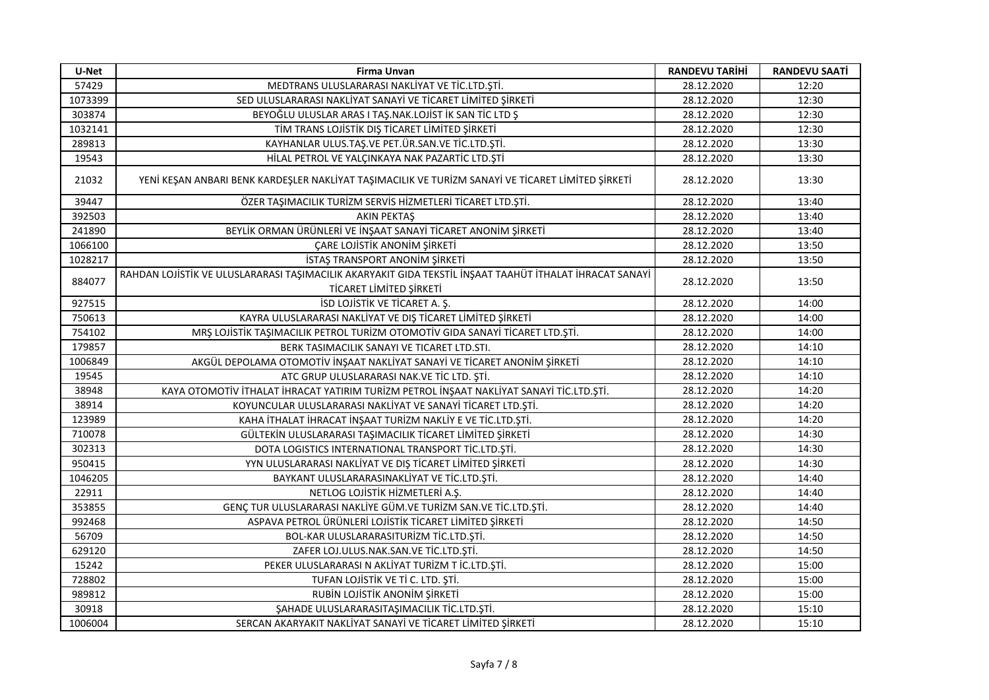| U-Net   | <b>Firma Unvan</b>                                                                                                                 | <b>RANDEVU TARİHİ</b> | <b>RANDEVU SAATİ</b> |
|---------|------------------------------------------------------------------------------------------------------------------------------------|-----------------------|----------------------|
| 57429   | MEDTRANS ULUSLARARASI NAKLİYAT VE TİC.LTD.ŞTİ.                                                                                     | 28.12.2020            | 12:20                |
| 1073399 | SED ULUSLARARASI NAKLİYAT SANAYİ VE TİCARET LİMİTED ŞİRKETİ                                                                        | 28.12.2020            | 12:30                |
| 303874  | BEYOĞLU ULUSLAR ARAS I TAŞ.NAK.LOJİST İK SAN TİC LTD Ş                                                                             | 28.12.2020            | 12:30                |
| 1032141 | TİM TRANS LOJİSTİK DIŞ TİCARET LİMİTED ŞİRKETİ                                                                                     | 28.12.2020            | 12:30                |
| 289813  | KAYHANLAR ULUS.TAŞ.VE PET.ÜR.SAN.VE TİC.LTD.ŞTİ.                                                                                   | 28.12.2020            | 13:30                |
| 19543   | HİLAL PETROL VE YALÇINKAYA NAK PAZARTİC LTD.ŞTİ                                                                                    | 28.12.2020            | 13:30                |
| 21032   | YENİ KEŞAN ANBARI BENK KARDEŞLER NAKLİYAT TAŞIMACILIK VE TURİZM SANAYİ VE TİCARET LİMİTED ŞİRKETİ                                  | 28.12.2020            | 13:30                |
| 39447   | ÖZER TAŞIMACILIK TURİZM SERVİS HİZMETLERİ TİCARET LTD.ŞTİ.                                                                         | 28.12.2020            | 13:40                |
| 392503  | <b>AKIN PEKTAŞ</b>                                                                                                                 | 28.12.2020            | 13:40                |
| 241890  | BEYLİK ORMAN ÜRÜNLERİ VE İNŞAAT SANAYİ TİCARET ANONİM ŞİRKETİ                                                                      | 28.12.2020            | 13:40                |
| 1066100 | ÇARE LOJİSTİK ANONİM ŞİRKETİ                                                                                                       | 28.12.2020            | 13:50                |
| 1028217 | <b>İSTAŞ TRANSPORT ANONİM ŞİRKETİ</b>                                                                                              | 28.12.2020            | 13:50                |
| 884077  | RAHDAN LOJİSTİK VE ULUSLARARASI TAŞIMACILIK AKARYAKIT GIDA TEKSTİL İNŞAAT TAAHÜT İTHALAT İHRACAT SANAYİ<br>TİCARET LİMİTED ŞİRKETİ | 28.12.2020            | 13:50                |
| 927515  | ISD LOJISTIK VE TICARET A. Ş.                                                                                                      | 28.12.2020            | 14:00                |
| 750613  | KAYRA ULUSLARARASI NAKLİYAT VE DIŞ TİCARET LİMİTED ŞİRKETİ                                                                         | 28.12.2020            | 14:00                |
| 754102  | MRŞ LOJİSTİK TAŞIMACILIK PETROL TURİZM OTOMOTİV GIDA SANAYİ TİCARET LTD.ŞTİ.                                                       | 28.12.2020            | 14:00                |
| 179857  | BERK TASIMACILIK SANAYI VE TICARET LTD.STI.                                                                                        | 28.12.2020            | 14:10                |
| 1006849 | AKGÜL DEPOLAMA OTOMOTİV İNŞAAT NAKLİYAT SANAYİ VE TİCARET ANONİM ŞİRKETİ                                                           | 28.12.2020            | 14:10                |
| 19545   | ATC GRUP ULUSLARARASI NAK.VE TİC LTD. ŞTİ.                                                                                         | 28.12.2020            | 14:10                |
| 38948   | KAYA OTOMOTİV İTHALAT İHRACAT YATIRIM TURİZM PETROL İNŞAAT NAKLİYAT SANAYİ TİC.LTD.ŞTİ.                                            | 28.12.2020            | 14:20                |
| 38914   | KOYUNCULAR ULUSLARARASI NAKLİYAT VE SANAYİ TİCARET LTD.ŞTİ.                                                                        | 28.12.2020            | 14:20                |
| 123989  | KAHA İTHALAT İHRACAT İNŞAAT TURİZM NAKLİY E VE TİC.LTD.ŞTİ.                                                                        | 28.12.2020            | 14:20                |
| 710078  | GÜLTEKİN ULUSLARARASI TAŞIMACILIK TİCARET LİMİTED ŞİRKETİ                                                                          | 28.12.2020            | 14:30                |
| 302313  | DOTA LOGISTICS INTERNATIONAL TRANSPORT TİC.LTD.ŞTİ.                                                                                | 28.12.2020            | 14:30                |
| 950415  | YYN ULUSLARARASI NAKLİYAT VE DIŞ TİCARET LİMİTED ŞİRKETİ                                                                           | 28.12.2020            | 14:30                |
| 1046205 | BAYKANT ULUSLARARASINAKLİYAT VE TİC.LTD.ŞTİ.                                                                                       | 28.12.2020            | 14:40                |
| 22911   | NETLOG LOJİSTİK HİZMETLERİ A.Ş.                                                                                                    | 28.12.2020            | 14:40                |
| 353855  | GENÇ TUR ULUSLARARASI NAKLİYE GÜM.VE TURİZM SAN.VE TİC.LTD.ŞTİ.                                                                    | 28.12.2020            | 14:40                |
| 992468  | ASPAVA PETROL ÜRÜNLERİ LOJİSTİK TİCARET LİMİTED ŞİRKETİ                                                                            | 28.12.2020            | 14:50                |
| 56709   | BOL-KAR ULUSLARARASITURİZM TİC.LTD.ŞTİ.                                                                                            | 28.12.2020            | 14:50                |
| 629120  | ZAFER LOJ.ULUS.NAK.SAN.VE TİC.LTD.ŞTİ.                                                                                             | 28.12.2020            | 14:50                |
| 15242   | PEKER ULUSLARARASI N AKLİYAT TURİZM T İC.LTD.ŞTİ.                                                                                  | 28.12.2020            | 15:00                |
| 728802  | TUFAN LOJİSTİK VE Tİ C. LTD. ŞTİ.                                                                                                  | 28.12.2020            | 15:00                |
| 989812  | RUBIN LOJISTIK ANONIM ŞIRKETI                                                                                                      | 28.12.2020            | 15:00                |
| 30918   | ŞAHADE ULUSLARARASITAŞIMACILIK TİC.LTD.ŞTİ.                                                                                        | 28.12.2020            | 15:10                |
| 1006004 | SERCAN AKARYAKIT NAKLIYAT SANAYI VE TICARET LIMITED ŞIRKETI                                                                        | 28.12.2020            | 15:10                |